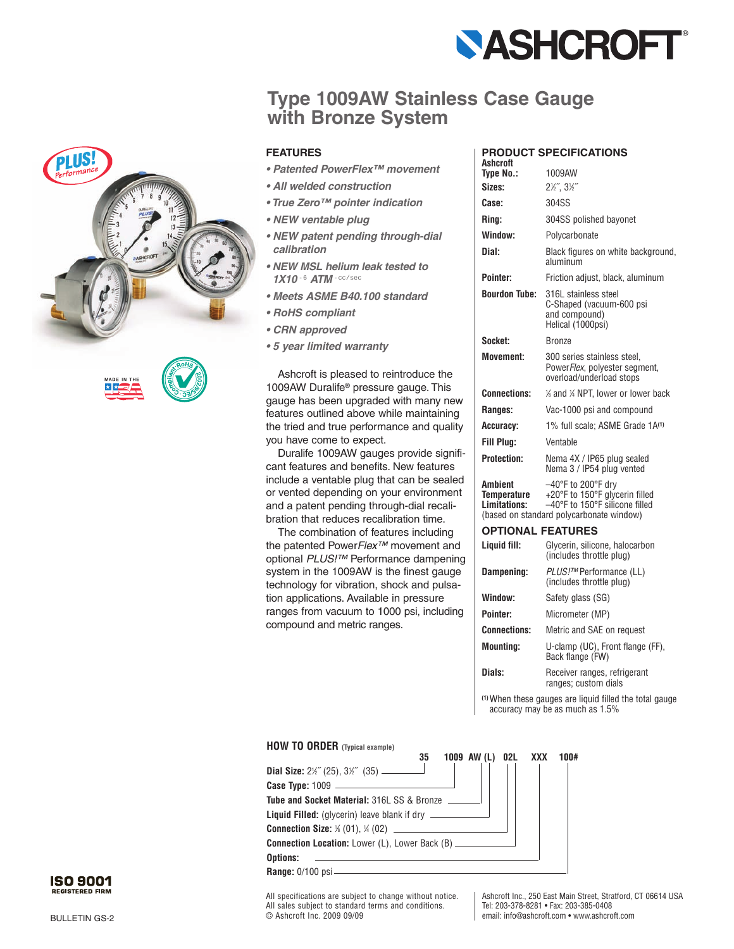

## **Type 1009AW Stainless Case Gauge with Bronze System**



- *Patented PowerFlex™ movement*
- *All welded construction*
- *True Zero™ pointer indication*
- *NEW ventable plug*
- *NEW patent pending through-dial calibration*
- *NEW MSL helium leak tested to* 1X10-6 ATM-cc/sec
- *Meets ASME B40.100 standard*
- *RoHS compliant*
- *CRN approved*
- *5 year limited warranty*

Ashcroft is pleased to reintroduce the 1009AW Duralife ® pressure gauge. This gauge has been upgraded with many new features outlined above while maintaining the tried and true performance and quality you have come to expect.

Duralife 1009AW gauges provide significant features and benefits. New features include a ventable plug that can be sealed or vented depending on your environment and a patent pending through-dial recalibration that reduces recalibration time.

The combination of features including the patented Power*Flex™* movement and optional *PLUS!™* Performance dampening system in the 1009AW is the finest gauge technology for vibration, shock and pulsation applications. Available in pressure ranges from vacuum to 1000 psi, including compound and metric ranges.

## **PRODUCT SPECIFICATIONS**

| <b>Ashcroft</b>                               |                                                                                                                                    |
|-----------------------------------------------|------------------------------------------------------------------------------------------------------------------------------------|
| Type No.:<br>Sizes:                           | 1009AW                                                                                                                             |
|                                               | 21/2", 31/2"                                                                                                                       |
| Case:                                         | 304SS                                                                                                                              |
| Rina:                                         | 304SS polished bayonet                                                                                                             |
| Window:                                       | Polycarbonate                                                                                                                      |
| Dial:                                         | Black figures on white background,<br>aluminum                                                                                     |
| Pointer:                                      | Friction adjust, black, aluminum                                                                                                   |
| <b>Bourdon Tube:</b>                          | 316L stainless steel<br>C-Shaped (vacuum-600 psi<br>and compound)<br>Helical (1000psi)                                             |
| Socket:                                       | Bronze                                                                                                                             |
| <b>Movement:</b>                              | 300 series stainless steel.<br>PowerFlex, polyester segment,<br>overload/underload stops                                           |
| <b>Connections:</b>                           | % and % NPT, lower or lower back                                                                                                   |
| <b>Ranges:</b>                                | Vac-1000 psi and compound                                                                                                          |
| Accuracy:                                     | 1% full scale; ASME Grade 1A <sup>(1)</sup>                                                                                        |
| Fill Plug:                                    | Ventable                                                                                                                           |
| <b>Protection:</b>                            | Nema 4X / IP65 plug sealed<br>Nema 3 / IP54 plug vented                                                                            |
| <b>Ambient</b><br>Temperature<br>Limitations: | -40°F to 200°F dry<br>+20°F to 150°F glycerin filled<br>-40°F to 150°F silicone filled<br>(based on standard polycarbonate window) |
| <b>OPTIONAL FEATURES</b>                      |                                                                                                                                    |
| Liquid fill:                                  | Glycerin, silicone, halocarbon<br>(includes throttle plug)                                                                         |
| Dampening:                                    | PLUS!™ Performance (LL)<br>(includes throttle plug)                                                                                |
| Window:                                       | Safety glass (SG)                                                                                                                  |
| Pointer:                                      | Micrometer (MP)                                                                                                                    |
| <b>Connections:</b>                           | Metric and SAE on request                                                                                                          |
|                                               |                                                                                                                                    |

**Mounting:** U-clamp (UC), Front flange (FF), Back flange (FW)

**Dials:** Receiver ranges, refrigerant ranges; custom dials

**(1)** When these gauges are liquid filled the total gauge accuracy may be as much as 1.5%





**Range:** 0/100 psi

All specifications are subject to change without notice. All sales subject to standard terms and conditions. © Ashcroft Inc. 2009 09/09

Ashcroft Inc., 250 East Main Street, Stratford, CT 06614 USA Tel: 203-378-8281 • Fax: 203-385-0408 email: info@ashcroft.com • www.ashcroft.com